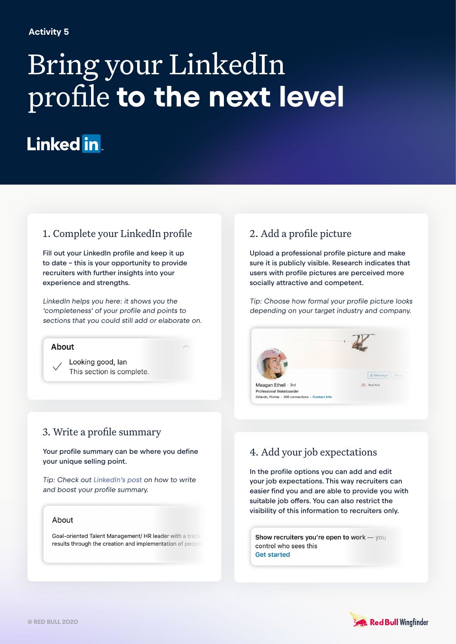#### **Activity 5**

# Bring your LinkedIn profile **to the next level**

# Linked in

## 1. Complete your LinkedIn profile

Fill out your LinkedIn profile and keep it up to date – this is your opportunity to provide recruiters with further insights into your experience and strengths.

LinkedIn helps you here: it shows you the 'completeness' of your profile and points to sections that you could still add or elaborate on.

#### **About**

Looking good, lan This section is complete.

## 3. Write a profile summary

Your profile summary can be where you define your unique selling point.

Tip: Check out [LinkedIn's post](https://business.linkedin.com/talent-solutions/blog/linkedin-best-practices/2016/7-linkedin-profile-summaries-that-we-love-and-how-to-boost-your-own) on how to write and boost your profile summary.

#### About

Goal-oriented Talent Management/ HR leader with a track results through the creation and implementation of people

#### 2. Add a profile picture

Upload a professional profile picture and make sure it is publicly visible. Research indicates that users with profile pictures are perceived more socially attractive and competent.

Tip: Choose how formal your profile picture looks depending on your target industry and company.



# 4. Add your job expectations

In the profile options you can add and edit your job expectations. This way recruiters can easier find you and are able to provide you with suitable job offers. You can also restrict the visibility of this information to recruiters only.

Show recruiters you're open to work - you control who sees this **Get started**